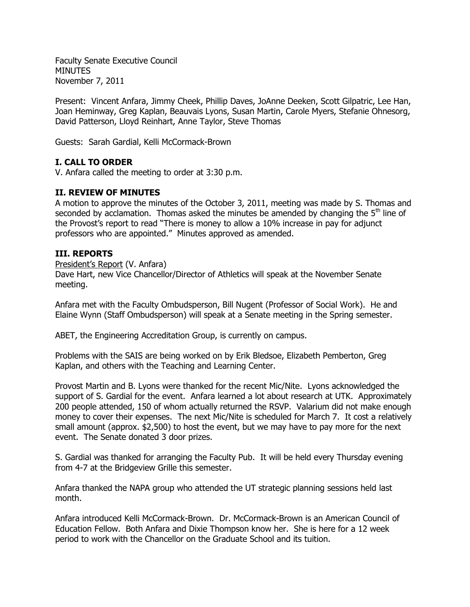Faculty Senate Executive Council MINUTES November 7, 2011

Present: Vincent Anfara, Jimmy Cheek, Phillip Daves, JoAnne Deeken, Scott Gilpatric, Lee Han, Joan Heminway, Greg Kaplan, Beauvais Lyons, Susan Martin, Carole Myers, Stefanie Ohnesorg, David Patterson, Lloyd Reinhart, Anne Taylor, Steve Thomas

Guests: Sarah Gardial, Kelli McCormack-Brown

# **I. CALL TO ORDER**

V. Anfara called the meeting to order at 3:30 p.m.

## **II. REVIEW OF MINUTES**

A motion to approve the minutes of the October 3, 2011, meeting was made by S. Thomas and seconded by acclamation. Thomas asked the minutes be amended by changing the  $5<sup>th</sup>$  line of the Provost's report to read "There is money to allow a 10% increase in pay for adjunct professors who are appointed." Minutes approved as amended.

## **III. REPORTS**

President's Report (V. Anfara)

Dave Hart, new Vice Chancellor/Director of Athletics will speak at the November Senate meeting.

Anfara met with the Faculty Ombudsperson, Bill Nugent (Professor of Social Work). He and Elaine Wynn (Staff Ombudsperson) will speak at a Senate meeting in the Spring semester.

ABET, the Engineering Accreditation Group, is currently on campus.

Problems with the SAIS are being worked on by Erik Bledsoe, Elizabeth Pemberton, Greg Kaplan, and others with the Teaching and Learning Center.

Provost Martin and B. Lyons were thanked for the recent Mic/Nite. Lyons acknowledged the support of S. Gardial for the event. Anfara learned a lot about research at UTK. Approximately 200 people attended, 150 of whom actually returned the RSVP. Valarium did not make enough money to cover their expenses. The next Mic/Nite is scheduled for March 7. It cost a relatively small amount (approx. \$2,500) to host the event, but we may have to pay more for the next event. The Senate donated 3 door prizes.

S. Gardial was thanked for arranging the Faculty Pub. It will be held every Thursday evening from 4-7 at the Bridgeview Grille this semester.

Anfara thanked the NAPA group who attended the UT strategic planning sessions held last month.

Anfara introduced Kelli McCormack-Brown. Dr. McCormack-Brown is an American Council of Education Fellow. Both Anfara and Dixie Thompson know her. She is here for a 12 week period to work with the Chancellor on the Graduate School and its tuition.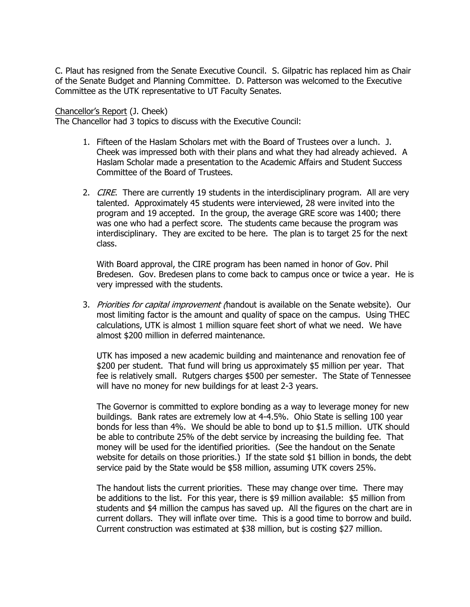C. Plaut has resigned from the Senate Executive Council. S. Gilpatric has replaced him as Chair of the Senate Budget and Planning Committee. D. Patterson was welcomed to the Executive Committee as the UTK representative to UT Faculty Senates.

### Chancellor's Report (J. Cheek)

The Chancellor had 3 topics to discuss with the Executive Council:

- 1. Fifteen of the Haslam Scholars met with the Board of Trustees over a lunch. J. Cheek was impressed both with their plans and what they had already achieved. A Haslam Scholar made a presentation to the Academic Affairs and Student Success Committee of the Board of Trustees.
- 2. *CIRE*. There are currently 19 students in the interdisciplinary program. All are very talented. Approximately 45 students were interviewed, 28 were invited into the program and 19 accepted. In the group, the average GRE score was 1400; there was one who had a perfect score. The students came because the program was interdisciplinary. They are excited to be here. The plan is to target 25 for the next class.

With Board approval, the CIRE program has been named in honor of Gov. Phil Bredesen. Gov. Bredesen plans to come back to campus once or twice a year. He is very impressed with the students.

3. Priorities for capital improvement (handout is available on the Senate website). Our most limiting factor is the amount and quality of space on the campus. Using THEC calculations, UTK is almost 1 million square feet short of what we need. We have almost \$200 million in deferred maintenance.

UTK has imposed a new academic building and maintenance and renovation fee of \$200 per student. That fund will bring us approximately \$5 million per year. That fee is relatively small. Rutgers charges \$500 per semester. The State of Tennessee will have no money for new buildings for at least 2-3 years.

The Governor is committed to explore bonding as a way to leverage money for new buildings. Bank rates are extremely low at 4-4.5%. Ohio State is selling 100 year bonds for less than 4%. We should be able to bond up to \$1.5 million. UTK should be able to contribute 25% of the debt service by increasing the building fee. That money will be used for the identified priorities. (See the handout on the Senate website for details on those priorities.) If the state sold \$1 billion in bonds, the debt service paid by the State would be \$58 million, assuming UTK covers 25%.

The handout lists the current priorities. These may change over time. There may be additions to the list. For this year, there is \$9 million available: \$5 million from students and \$4 million the campus has saved up. All the figures on the chart are in current dollars. They will inflate over time. This is a good time to borrow and build. Current construction was estimated at \$38 million, but is costing \$27 million.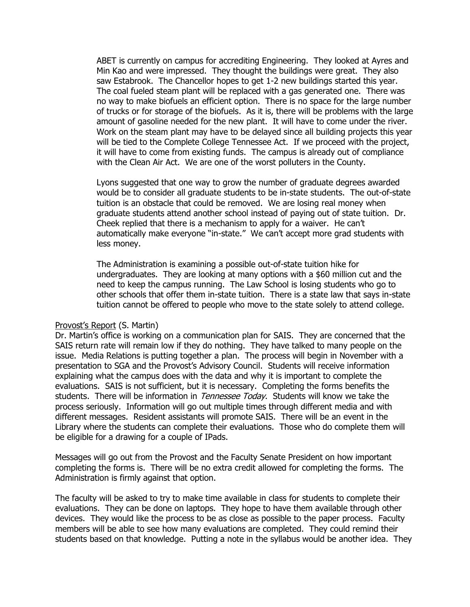ABET is currently on campus for accrediting Engineering. They looked at Ayres and Min Kao and were impressed. They thought the buildings were great. They also saw Estabrook. The Chancellor hopes to get 1-2 new buildings started this year. The coal fueled steam plant will be replaced with a gas generated one. There was no way to make biofuels an efficient option. There is no space for the large number of trucks or for storage of the biofuels. As it is, there will be problems with the large amount of gasoline needed for the new plant. It will have to come under the river. Work on the steam plant may have to be delayed since all building projects this year will be tied to the Complete College Tennessee Act. If we proceed with the project, it will have to come from existing funds. The campus is already out of compliance with the Clean Air Act. We are one of the worst polluters in the County.

Lyons suggested that one way to grow the number of graduate degrees awarded would be to consider all graduate students to be in-state students. The out-of-state tuition is an obstacle that could be removed. We are losing real money when graduate students attend another school instead of paying out of state tuition. Dr. Cheek replied that there is a mechanism to apply for a waiver. He can't automatically make everyone "in-state." We can't accept more grad students with less money.

The Administration is examining a possible out-of-state tuition hike for undergraduates. They are looking at many options with a \$60 million cut and the need to keep the campus running. The Law School is losing students who go to other schools that offer them in-state tuition. There is a state law that says in-state tuition cannot be offered to people who move to the state solely to attend college.

### Provost's Report (S. Martin)

Dr. Martin's office is working on a communication plan for SAIS. They are concerned that the SAIS return rate will remain low if they do nothing. They have talked to many people on the issue. Media Relations is putting together a plan. The process will begin in November with a presentation to SGA and the Provost's Advisory Council. Students will receive information explaining what the campus does with the data and why it is important to complete the evaluations. SAIS is not sufficient, but it is necessary. Completing the forms benefits the students. There will be information in *Tennessee Today*. Students will know we take the process seriously. Information will go out multiple times through different media and with different messages. Resident assistants will promote SAIS. There will be an event in the Library where the students can complete their evaluations. Those who do complete them will be eligible for a drawing for a couple of IPads.

Messages will go out from the Provost and the Faculty Senate President on how important completing the forms is. There will be no extra credit allowed for completing the forms. The Administration is firmly against that option.

The faculty will be asked to try to make time available in class for students to complete their evaluations. They can be done on laptops. They hope to have them available through other devices. They would like the process to be as close as possible to the paper process. Faculty members will be able to see how many evaluations are completed. They could remind their students based on that knowledge. Putting a note in the syllabus would be another idea. They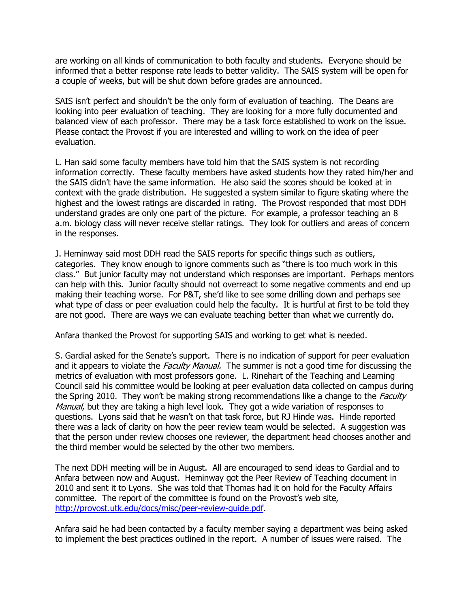are working on all kinds of communication to both faculty and students. Everyone should be informed that a better response rate leads to better validity. The SAIS system will be open for a couple of weeks, but will be shut down before grades are announced.

SAIS isn't perfect and shouldn't be the only form of evaluation of teaching. The Deans are looking into peer evaluation of teaching. They are looking for a more fully documented and balanced view of each professor. There may be a task force established to work on the issue. Please contact the Provost if you are interested and willing to work on the idea of peer evaluation.

L. Han said some faculty members have told him that the SAIS system is not recording information correctly. These faculty members have asked students how they rated him/her and the SAIS didn't have the same information. He also said the scores should be looked at in context with the grade distribution. He suggested a system similar to figure skating where the highest and the lowest ratings are discarded in rating. The Provost responded that most DDH understand grades are only one part of the picture. For example, a professor teaching an 8 a.m. biology class will never receive stellar ratings. They look for outliers and areas of concern in the responses.

J. Heminway said most DDH read the SAIS reports for specific things such as outliers, categories. They know enough to ignore comments such as "there is too much work in this class." But junior faculty may not understand which responses are important. Perhaps mentors can help with this. Junior faculty should not overreact to some negative comments and end up making their teaching worse. For P&T, she'd like to see some drilling down and perhaps see what type of class or peer evaluation could help the faculty. It is hurtful at first to be told they are not good. There are ways we can evaluate teaching better than what we currently do.

Anfara thanked the Provost for supporting SAIS and working to get what is needed.

S. Gardial asked for the Senate's support. There is no indication of support for peer evaluation and it appears to violate the *Faculty Manual.* The summer is not a good time for discussing the metrics of evaluation with most professors gone. L. Rinehart of the Teaching and Learning Council said his committee would be looking at peer evaluation data collected on campus during the Spring 2010. They won't be making strong recommendations like a change to the *Faculty* Manual, but they are taking a high level look. They got a wide variation of responses to questions. Lyons said that he wasn't on that task force, but RJ Hinde was. Hinde reported there was a lack of clarity on how the peer review team would be selected. A suggestion was that the person under review chooses one reviewer, the department head chooses another and the third member would be selected by the other two members.

The next DDH meeting will be in August. All are encouraged to send ideas to Gardial and to Anfara between now and August. Heminway got the Peer Review of Teaching document in 2010 and sent it to Lyons. She was told that Thomas had it on hold for the Faculty Affairs committee. The report of the committee is found on the Provost's web site, [http://provost.utk.edu/docs/misc/peer-review-guide.pdf.](http://provost.utk.edu/docs/misc/peer-review-guide.pdf)

Anfara said he had been contacted by a faculty member saying a department was being asked to implement the best practices outlined in the report. A number of issues were raised. The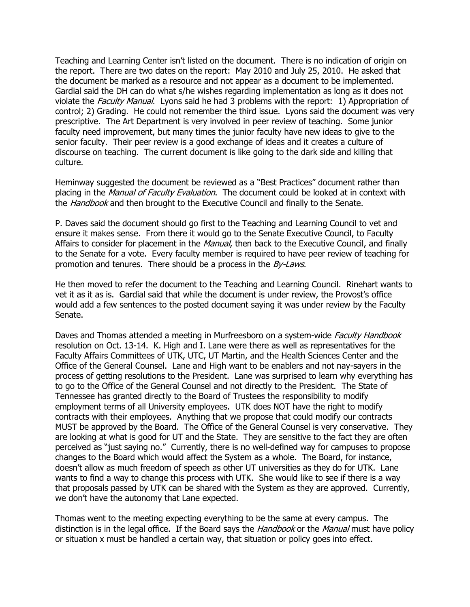Teaching and Learning Center isn't listed on the document. There is no indication of origin on the report. There are two dates on the report: May 2010 and July 25, 2010. He asked that the document be marked as a resource and not appear as a document to be implemented. Gardial said the DH can do what s/he wishes regarding implementation as long as it does not violate the Faculty Manual. Lyons said he had 3 problems with the report: 1) Appropriation of control; 2) Grading. He could not remember the third issue. Lyons said the document was very prescriptive. The Art Department is very involved in peer review of teaching. Some junior faculty need improvement, but many times the junior faculty have new ideas to give to the senior faculty. Their peer review is a good exchange of ideas and it creates a culture of discourse on teaching. The current document is like going to the dark side and killing that culture.

Heminway suggested the document be reviewed as a "Best Practices" document rather than placing in the *Manual of Faculty Evaluation*. The document could be looked at in context with the *Handbook* and then brought to the Executive Council and finally to the Senate.

P. Daves said the document should go first to the Teaching and Learning Council to vet and ensure it makes sense. From there it would go to the Senate Executive Council, to Faculty Affairs to consider for placement in the *Manual*, then back to the Executive Council, and finally to the Senate for a vote. Every faculty member is required to have peer review of teaching for promotion and tenures. There should be a process in the By-Laws.

He then moved to refer the document to the Teaching and Learning Council. Rinehart wants to vet it as it as is. Gardial said that while the document is under review, the Provost's office would add a few sentences to the posted document saying it was under review by the Faculty Senate.

Daves and Thomas attended a meeting in Murfreesboro on a system-wide *Faculty Handbook* resolution on Oct. 13-14. K. High and I. Lane were there as well as representatives for the Faculty Affairs Committees of UTK, UTC, UT Martin, and the Health Sciences Center and the Office of the General Counsel. Lane and High want to be enablers and not nay-sayers in the process of getting resolutions to the President. Lane was surprised to learn why everything has to go to the Office of the General Counsel and not directly to the President. The State of Tennessee has granted directly to the Board of Trustees the responsibility to modify employment terms of all University employees. UTK does NOT have the right to modify contracts with their employees. Anything that we propose that could modify our contracts MUST be approved by the Board. The Office of the General Counsel is very conservative. They are looking at what is good for UT and the State. They are sensitive to the fact they are often perceived as "just saying no." Currently, there is no well-defined way for campuses to propose changes to the Board which would affect the System as a whole. The Board, for instance, doesn't allow as much freedom of speech as other UT universities as they do for UTK. Lane wants to find a way to change this process with UTK. She would like to see if there is a way that proposals passed by UTK can be shared with the System as they are approved. Currently, we don't have the autonomy that Lane expected.

Thomas went to the meeting expecting everything to be the same at every campus. The distinction is in the legal office. If the Board says the *Handbook* or the *Manual* must have policy or situation x must be handled a certain way, that situation or policy goes into effect.